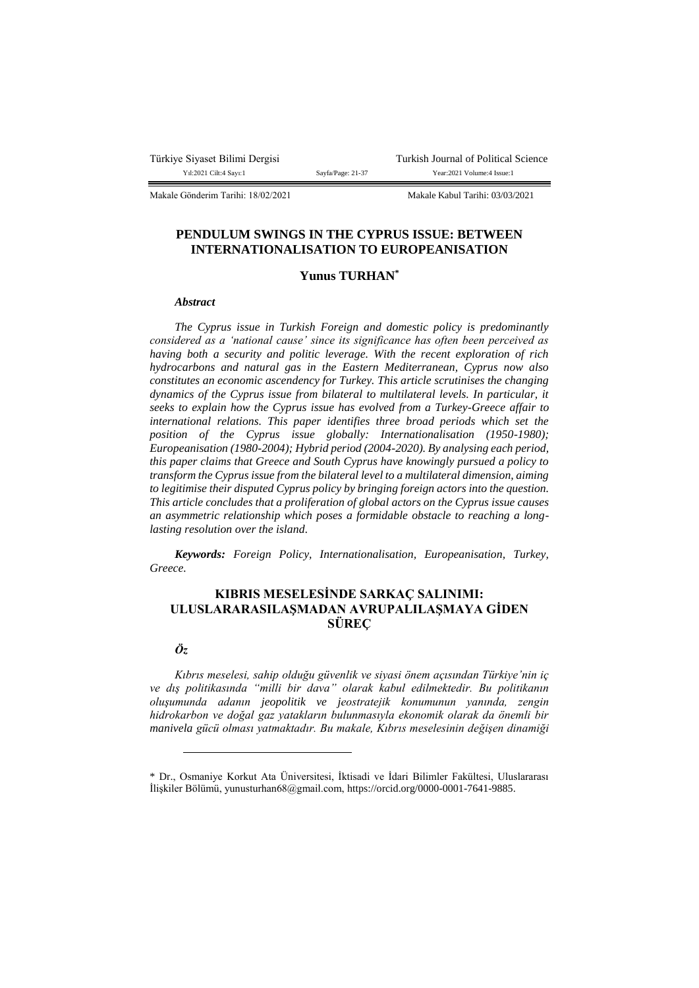Makale Gönderim Tarihi: 18/02/2021 Makale Kabul Tarihi: 03/03/2021

## **PENDULUM SWINGS IN THE CYPRUS ISSUE: BETWEEN INTERNATIONALISATION TO EUROPEANISATION**

# **Yunus TURHAN\***

#### *Abstract*

*The Cyprus issue in Turkish Foreign and domestic policy is predominantly considered as a 'national cause' since its significance has often been perceived as having both a security and politic leverage. With the recent exploration of rich hydrocarbons and natural gas in the Eastern Mediterranean, Cyprus now also constitutes an economic ascendency for Turkey. This article scrutinises the changing dynamics of the Cyprus issue from bilateral to multilateral levels. In particular, it seeks to explain how the Cyprus issue has evolved from a Turkey-Greece affair to international relations. This paper identifies three broad periods which set the position of the Cyprus issue globally: Internationalisation (1950-1980); Europeanisation (1980-2004); Hybrid period (2004-2020). By analysing each period, this paper claims that Greece and South Cyprus have knowingly pursued a policy to transform the Cyprus issue from the bilateral level to a multilateral dimension, aiming to legitimise their disputed Cyprus policy by bringing foreign actors into the question. This article concludes that a proliferation of global actors on the Cyprus issue causes an asymmetric relationship which poses a formidable obstacle to reaching a longlasting resolution over the island.*

*Keywords: Foreign Policy, Internationalisation, Europeanisation, Turkey, Greece.*

# **KIBRIS MESELESİNDE SARKAÇ SALINIMI: ULUSLARARASILAŞMADAN AVRUPALILAŞMAYA GİDEN SÜREÇ**

## *Öz*

 $\overline{a}$ 

*Kıbrıs meselesi, sahip olduğu güvenlik ve siyasi önem açısından Türkiye'nin iç ve dış politikasında "milli bir dava" olarak kabul edilmektedir. Bu politikanın oluşumunda adanın jeopolitik ve jeostratejik konumunun yanında, zengin hidrokarbon ve doğal gaz yatakların bulunmasıyla ekonomik olarak da önemli bir manivela gücü olması yatmaktadır. Bu makale, Kıbrıs meselesinin değişen dinamiği* 

<sup>\*</sup> Dr., Osmaniye Korkut Ata Üniversitesi, İktisadi ve İdari Bilimler Fakültesi, Uluslararası İlişkiler Bölümü, yunusturhan68@gmail.com, https://orcid.org/0000-0001-7641-9885.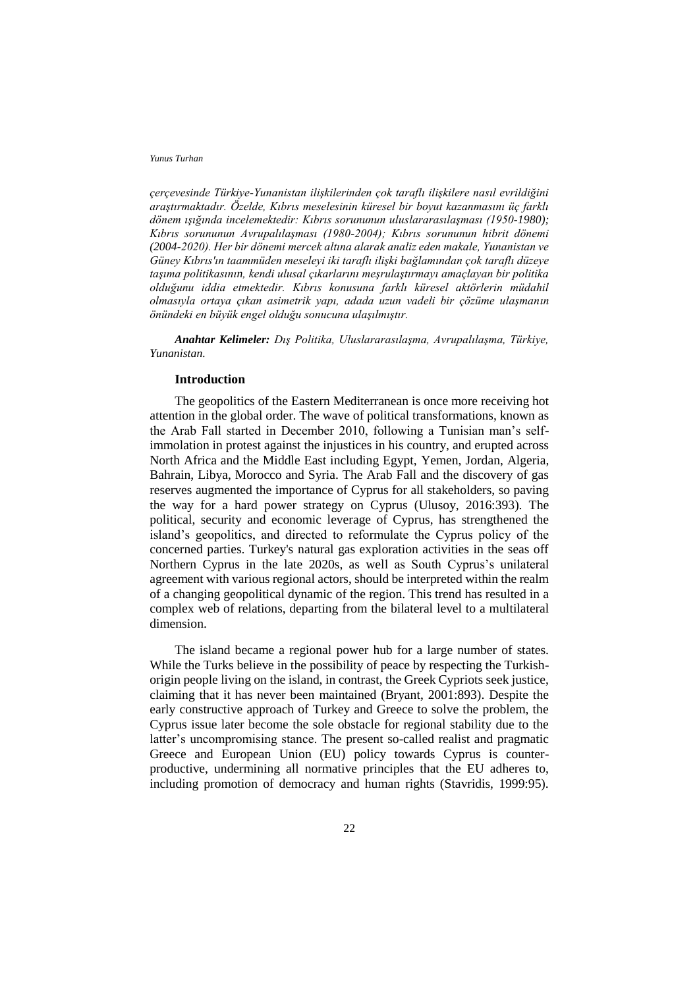*çerçevesinde Türkiye-Yunanistan ilişkilerinden çok taraflı ilişkilere nasıl evrildiğini araştırmaktadır. Özelde, Kıbrıs meselesinin küresel bir boyut kazanmasını üç farklı dönem ışığında incelemektedir: Kıbrıs sorununun uluslararasılaşması (1950-1980); Kıbrıs sorununun Avrupalılaşması (1980-2004); Kıbrıs sorununun hibrit dönemi (2004-2020). Her bir dönemi mercek altına alarak analiz eden makale, Yunanistan ve Güney Kıbrıs'ın taammüden meseleyi iki taraflı ilişki bağlamından çok taraflı düzeye taşıma politikasının, kendi ulusal çıkarlarını meşrulaştırmayı amaçlayan bir politika olduğunu iddia etmektedir. Kıbrıs konusuna farklı küresel aktörlerin müdahil olmasıyla ortaya çıkan asimetrik yapı, adada uzun vadeli bir çözüme ulaşmanın önündeki en büyük engel olduğu sonucuna ulaşılmıştır.*

*Anahtar Kelimeler: Dış Politika, Uluslararasılaşma, Avrupalılaşma, Türkiye, Yunanistan.*

## **Introduction**

The geopolitics of the Eastern Mediterranean is once more receiving hot attention in the global order. The wave of political transformations, known as the Arab Fall started in December 2010, following a Tunisian man's selfimmolation in protest against the injustices in his country, and erupted across North Africa and the Middle East including Egypt, Yemen, Jordan, Algeria, Bahrain, Libya, Morocco and Syria. The Arab Fall and the discovery of gas reserves augmented the importance of Cyprus for all stakeholders, so paving the way for a hard power strategy on Cyprus (Ulusoy, 2016:393). The political, security and economic leverage of Cyprus, has strengthened the island's geopolitics, and directed to reformulate the Cyprus policy of the concerned parties. Turkey's natural gas exploration activities in the seas off Northern Cyprus in the late 2020s, as well as South Cyprus's unilateral agreement with various regional actors, should be interpreted within the realm of a changing geopolitical dynamic of the region. This trend has resulted in a complex web of relations, departing from the bilateral level to a multilateral dimension.

The island became a regional power hub for a large number of states. While the Turks believe in the possibility of peace by respecting the Turkishorigin people living on the island, in contrast, the Greek Cypriots seek justice, claiming that it has never been maintained (Bryant, 2001:893). Despite the early constructive approach of Turkey and Greece to solve the problem, the Cyprus issue later become the sole obstacle for regional stability due to the latter's uncompromising stance. The present so-called realist and pragmatic Greece and European Union (EU) policy towards Cyprus is counterproductive, undermining all normative principles that the EU adheres to, including promotion of democracy and human rights (Stavridis, 1999:95).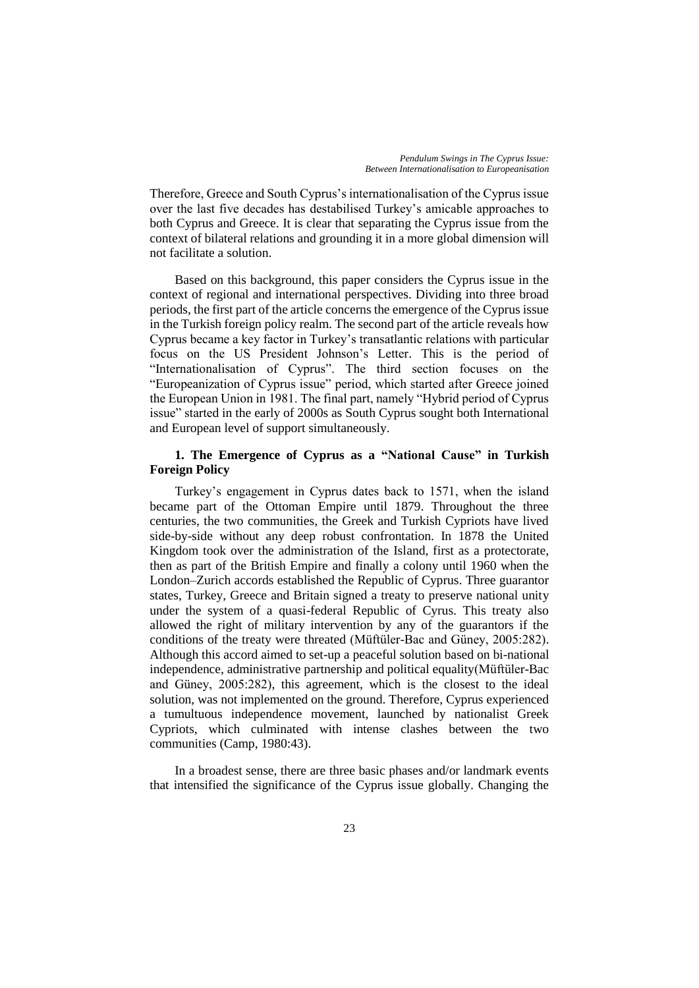Therefore, Greece and South Cyprus's internationalisation of the Cyprus issue over the last five decades has destabilised Turkey's amicable approaches to both Cyprus and Greece. It is clear that separating the Cyprus issue from the context of bilateral relations and grounding it in a more global dimension will not facilitate a solution.

Based on this background, this paper considers the Cyprus issue in the context of regional and international perspectives. Dividing into three broad periods, the first part of the article concerns the emergence of the Cyprus issue in the Turkish foreign policy realm. The second part of the article reveals how Cyprus became a key factor in Turkey's transatlantic relations with particular focus on the US President Johnson's Letter. This is the period of "Internationalisation of Cyprus". The third section focuses on the "Europeanization of Cyprus issue" period, which started after Greece joined the European Union in 1981. The final part, namely "Hybrid period of Cyprus issue" started in the early of 2000s as South Cyprus sought both International and European level of support simultaneously.

# **1. The Emergence of Cyprus as a "National Cause" in Turkish Foreign Policy**

Turkey's engagement in Cyprus dates back to 1571, when the island became part of the Ottoman Empire until 1879. Throughout the three centuries, the two communities, the Greek and Turkish Cypriots have lived side-by-side without any deep robust confrontation. In 1878 the United Kingdom took over the administration of the Island, first as a protectorate, then as part of the British Empire and finally a colony until 1960 when the London–Zurich accords established the Republic of Cyprus. Three guarantor states, Turkey, Greece and Britain signed a treaty to preserve national unity under the system of a quasi-federal Republic of Cyrus. This treaty also allowed the right of military intervention by any of the guarantors if the conditions of the treaty were threated (Müftüler-Bac and Güney, 2005:282). Although this accord aimed to set-up a peaceful solution based on bi-national independence, administrative partnership and political equality(Müftüler-Bac and Güney, 2005:282), this agreement, which is the closest to the ideal solution, was not implemented on the ground. Therefore, Cyprus experienced a tumultuous independence movement, launched by nationalist Greek Cypriots, which culminated with intense clashes between the two communities (Camp, 1980:43).

In a broadest sense, there are three basic phases and/or landmark events that intensified the significance of the Cyprus issue globally. Changing the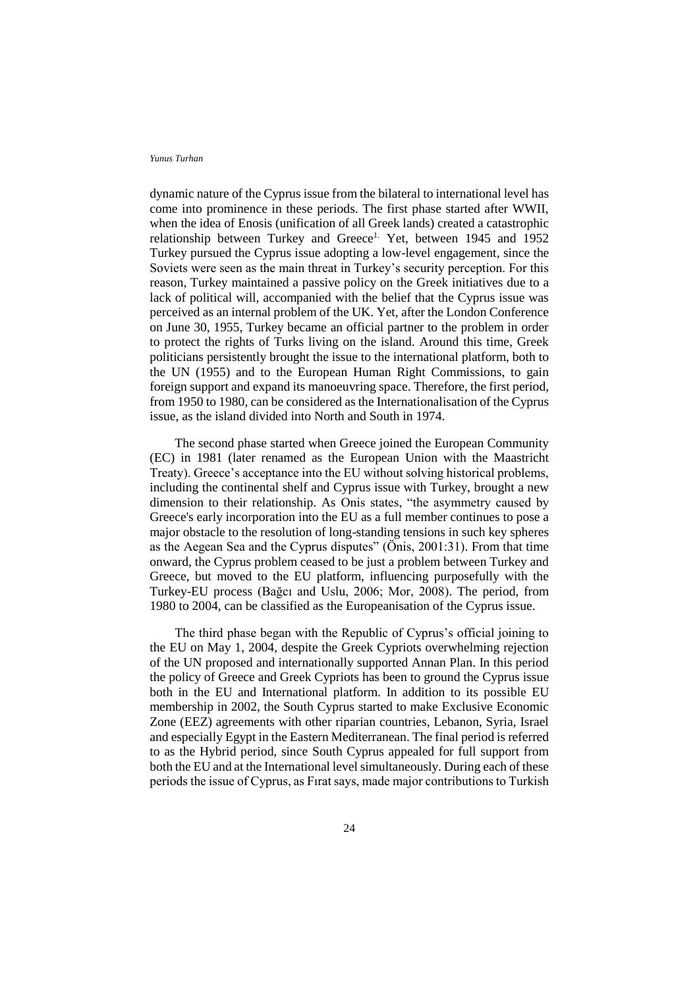dynamic nature of the Cyprus issue from the bilateral to international level has come into prominence in these periods. The first phase started after WWII, when the idea of Enosis (unification of all Greek lands) created a catastrophic relationship between Turkey and Greece<sup>1.</sup> Yet, between 1945 and 1952 Turkey pursued the Cyprus issue adopting a low-level engagement, since the Soviets were seen as the main threat in Turkey's security perception. For this reason, Turkey maintained a passive policy on the Greek initiatives due to a lack of political will, accompanied with the belief that the Cyprus issue was perceived as an internal problem of the UK. Yet, after the London Conference on June 30, 1955, Turkey became an official partner to the problem in order to protect the rights of Turks living on the island. Around this time, Greek politicians persistently brought the issue to the international platform, both to the UN (1955) and to the European Human Right Commissions, to gain foreign support and expand its manoeuvring space. Therefore, the first period, from 1950 to 1980, can be considered as the Internationalisation of the Cyprus issue, as the island divided into North and South in 1974.

The second phase started when Greece joined the European Community (EC) in 1981 (later renamed as the European Union with the Maastricht Treaty). Greece's acceptance into the EU without solving historical problems, including the continental shelf and Cyprus issue with Turkey, brought a new dimension to their relationship. As Onis states, "the asymmetry caused by Greece's early incorporation into the EU as a full member continues to pose a major obstacle to the resolution of long-standing tensions in such key spheres as the Aegean Sea and the Cyprus disputes" (Önis, 2001:31). From that time onward, the Cyprus problem ceased to be just a problem between Turkey and Greece, but moved to the EU platform, influencing purposefully with the Turkey-EU process (Bağcı and Uslu, 2006; Mor, 2008). The period, from 1980 to 2004, can be classified as the Europeanisation of the Cyprus issue.

The third phase began with the Republic of Cyprus's official joining to the EU on May 1, 2004, despite the Greek Cypriots overwhelming rejection of the UN proposed and internationally supported Annan Plan. In this period the policy of Greece and Greek Cypriots has been to ground the Cyprus issue both in the EU and International platform. In addition to its possible EU membership in 2002, the South Cyprus started to make Exclusive Economic Zone (EEZ) agreements with other riparian countries, Lebanon, Syria, Israel and especially Egypt in the Eastern Mediterranean. The final period is referred to as the Hybrid period, since South Cyprus appealed for full support from both the EU and at the International level simultaneously. During each of these periods the issue of Cyprus, as Fırat says, made major contributions to Turkish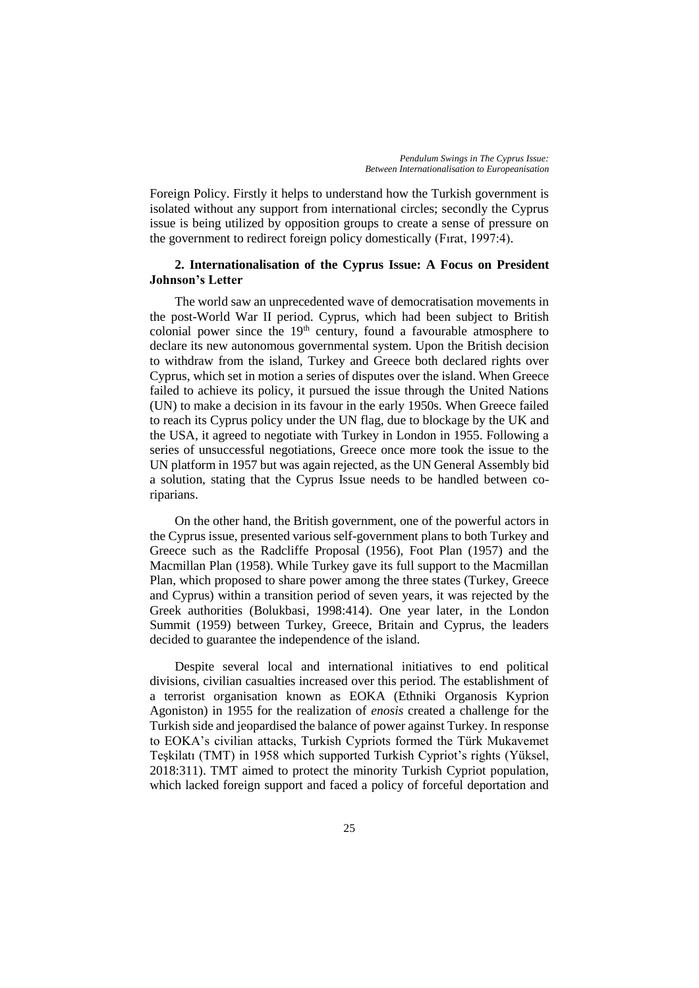Foreign Policy. Firstly it helps to understand how the Turkish government is isolated without any support from international circles; secondly the Cyprus issue is being utilized by opposition groups to create a sense of pressure on the government to redirect foreign policy domestically (Fırat, 1997:4).

# **2. Internationalisation of the Cyprus Issue: A Focus on President Johnson's Letter**

The world saw an unprecedented wave of democratisation movements in the post-World War II period. Cyprus, which had been subject to British colonial power since the  $19<sup>th</sup>$  century, found a favourable atmosphere to declare its new autonomous governmental system. Upon the British decision to withdraw from the island, Turkey and Greece both declared rights over Cyprus, which set in motion a series of disputes over the island. When Greece failed to achieve its policy, it pursued the issue through the United Nations (UN) to make a decision in its favour in the early 1950s. When Greece failed to reach its Cyprus policy under the UN flag, due to blockage by the UK and the USA, it agreed to negotiate with Turkey in London in 1955. Following a series of unsuccessful negotiations, Greece once more took the issue to the UN platform in 1957 but was again rejected, as the UN General Assembly bid a solution, stating that the Cyprus Issue needs to be handled between coriparians.

On the other hand, the British government, one of the powerful actors in the Cyprus issue, presented various self-government plans to both Turkey and Greece such as the Radcliffe Proposal (1956), Foot Plan (1957) and the Macmillan Plan (1958). While Turkey gave its full support to the Macmillan Plan, which proposed to share power among the three states (Turkey, Greece and Cyprus) within a transition period of seven years, it was rejected by the Greek authorities (Bolukbasi, 1998:414). One year later, in the London Summit (1959) between Turkey, Greece, Britain and Cyprus, the leaders decided to guarantee the independence of the island.

Despite several local and international initiatives to end political divisions, civilian casualties increased over this period. The establishment of a terrorist organisation known as EOKA (Ethniki Organosis Kyprion Agoniston) in 1955 for the realization of *enosis* created a challenge for the Turkish side and jeopardised the balance of power against Turkey. In response to EOKA's civilian attacks, Turkish Cypriots formed the Türk Mukavemet Teşkilatı (TMT) in 1958 which supported Turkish Cypriot's rights (Yüksel, 2018:311). TMT aimed to protect the minority Turkish Cypriot population, which lacked foreign support and faced a policy of forceful deportation and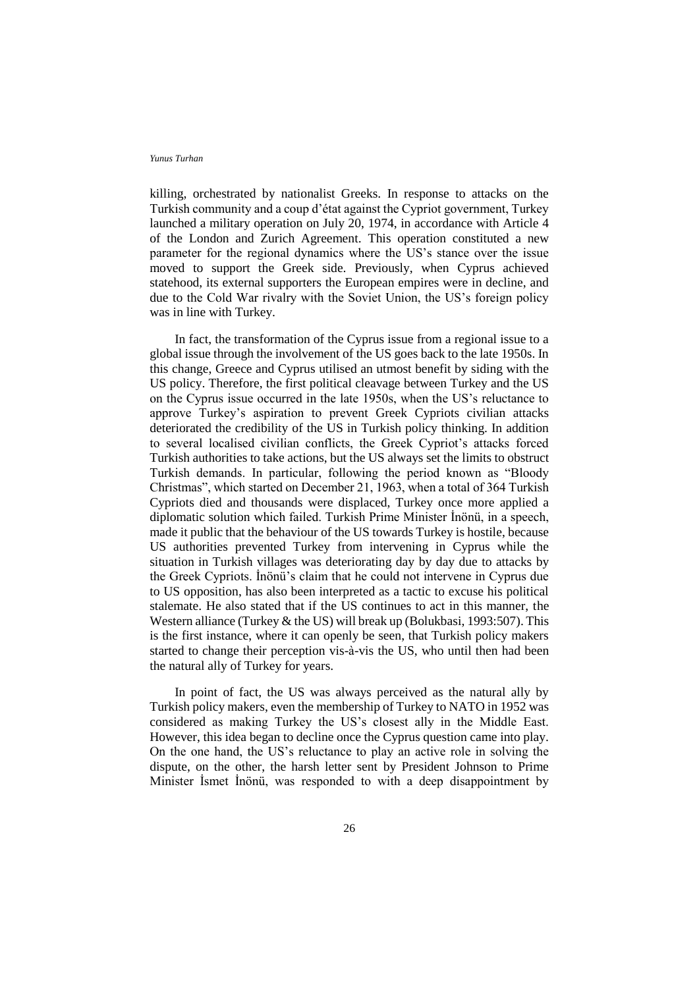killing, orchestrated by nationalist Greeks. In response to attacks on the Turkish community and a coup d'état against the Cypriot government, Turkey launched a military operation on July 20, 1974, in accordance with Article 4 of the London and Zurich Agreement. This operation constituted a new parameter for the regional dynamics where the US's stance over the issue moved to support the Greek side. Previously, when Cyprus achieved statehood, its external supporters the European empires were in decline, and due to the Cold War rivalry with the Soviet Union, the US's foreign policy was in line with Turkey.

In fact, the transformation of the Cyprus issue from a regional issue to a global issue through the involvement of the US goes back to the late 1950s. In this change, Greece and Cyprus utilised an utmost benefit by siding with the US policy. Therefore, the first political cleavage between Turkey and the US on the Cyprus issue occurred in the late 1950s, when the US's reluctance to approve Turkey's aspiration to prevent Greek Cypriots civilian attacks deteriorated the credibility of the US in Turkish policy thinking. In addition to several localised civilian conflicts, the Greek Cypriot's attacks forced Turkish authorities to take actions, but the US always set the limits to obstruct Turkish demands. In particular, following the period known as "Bloody Christmas", which started on December 21, 1963, when a total of 364 Turkish Cypriots died and thousands were displaced, Turkey once more applied a diplomatic solution which failed. Turkish Prime Minister İnönü, in a speech, made it public that the behaviour of the US towards Turkey is hostile, because US authorities prevented Turkey from intervening in Cyprus while the situation in Turkish villages was deteriorating day by day due to attacks by the Greek Cypriots. İnönü's claim that he could not intervene in Cyprus due to US opposition, has also been interpreted as a tactic to excuse his political stalemate. He also stated that if the US continues to act in this manner, the Western alliance (Turkey & the US) will break up (Bolukbasi, 1993:507). This is the first instance, where it can openly be seen, that Turkish policy makers started to change their perception vis-à-vis the US, who until then had been the natural ally of Turkey for years.

In point of fact, the US was always perceived as the natural ally by Turkish policy makers, even the membership of Turkey to NATO in 1952 was considered as making Turkey the US's closest ally in the Middle East. However, this idea began to decline once the Cyprus question came into play. On the one hand, the US's reluctance to play an active role in solving the dispute, on the other, the harsh letter sent by President Johnson to Prime Minister İsmet İnönü, was responded to with a deep disappointment by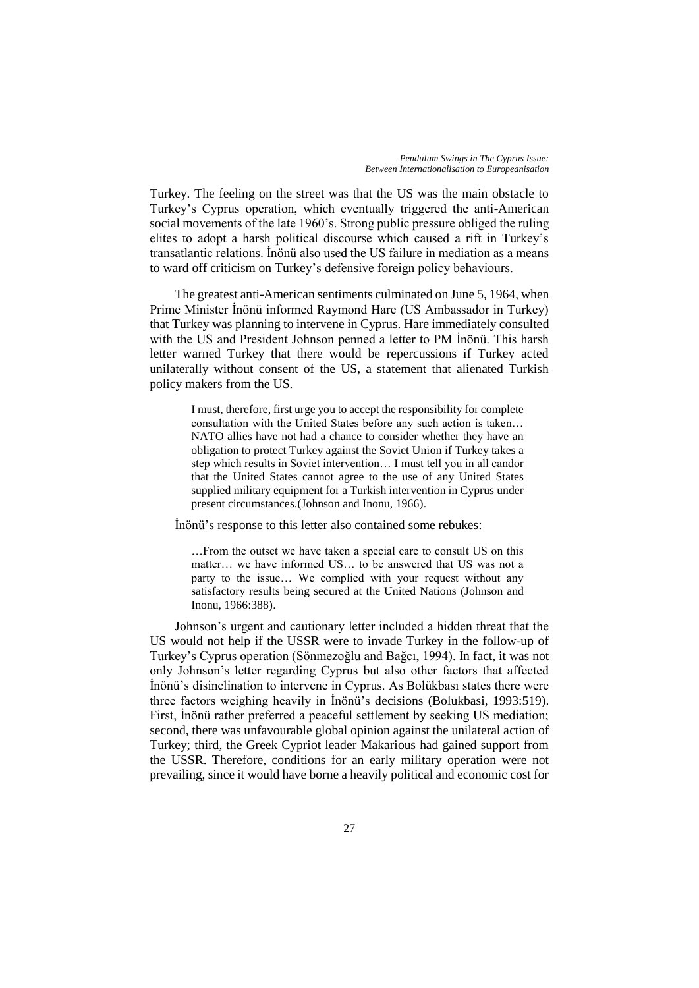Turkey. The feeling on the street was that the US was the main obstacle to Turkey's Cyprus operation, which eventually triggered the anti-American social movements of the late 1960's. Strong public pressure obliged the ruling elites to adopt a harsh political discourse which caused a rift in Turkey's transatlantic relations. İnönü also used the US failure in mediation as a means to ward off criticism on Turkey's defensive foreign policy behaviours.

The greatest anti-American sentiments culminated on June 5, 1964, when Prime Minister İnönü informed Raymond Hare (US Ambassador in Turkey) that Turkey was planning to intervene in Cyprus. Hare immediately consulted with the US and President Johnson penned a letter to PM İnönü. This harsh letter warned Turkey that there would be repercussions if Turkey acted unilaterally without consent of the US, a statement that alienated Turkish policy makers from the US.

> I must, therefore, first urge you to accept the responsibility for complete consultation with the United States before any such action is taken… NATO allies have not had a chance to consider whether they have an obligation to protect Turkey against the Soviet Union if Turkey takes a step which results in Soviet intervention… I must tell you in all candor that the United States cannot agree to the use of any United States supplied military equipment for a Turkish intervention in Cyprus under present circumstances.(Johnson and Inonu, 1966).

İnönü's response to this letter also contained some rebukes:

…From the outset we have taken a special care to consult US on this matter… we have informed US… to be answered that US was not a party to the issue… We complied with your request without any satisfactory results being secured at the United Nations (Johnson and Inonu, 1966:388).

Johnson's urgent and cautionary letter included a hidden threat that the US would not help if the USSR were to invade Turkey in the follow-up of Turkey's Cyprus operation (Sönmezoğlu and Bağcı, 1994). In fact, it was not only Johnson's letter regarding Cyprus but also other factors that affected İnönü's disinclination to intervene in Cyprus. As Bolükbası states there were three factors weighing heavily in İnönü's decisions (Bolukbasi, 1993:519). First, İnönü rather preferred a peaceful settlement by seeking US mediation; second, there was unfavourable global opinion against the unilateral action of Turkey; third, the Greek Cypriot leader Makarious had gained support from the USSR. Therefore, conditions for an early military operation were not prevailing, since it would have borne a heavily political and economic cost for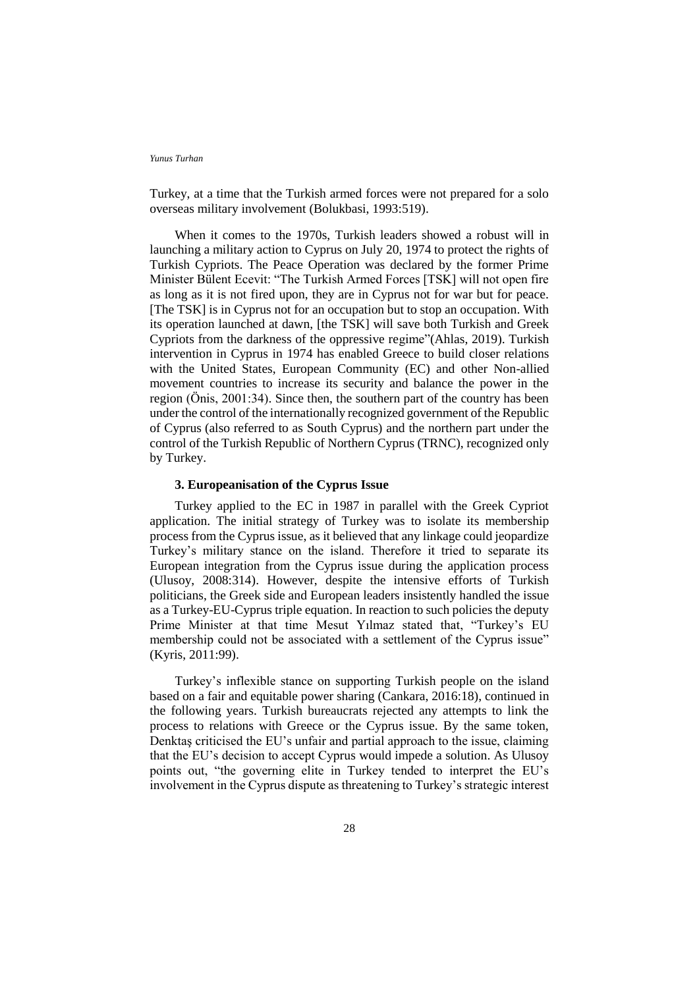Turkey, at a time that the Turkish armed forces were not prepared for a solo overseas military involvement (Bolukbasi, 1993:519).

When it comes to the 1970s, Turkish leaders showed a robust will in launching a military action to Cyprus on July 20, 1974 to protect the rights of Turkish Cypriots. The Peace Operation was declared by the former Prime Minister Bülent Ecevit: "The Turkish Armed Forces [TSK] will not open fire as long as it is not fired upon, they are in Cyprus not for war but for peace. [The TSK] is in Cyprus not for an occupation but to stop an occupation. With its operation launched at dawn, [the TSK] will save both Turkish and Greek Cypriots from the darkness of the oppressive regime"(Ahlas, 2019). Turkish intervention in Cyprus in 1974 has enabled Greece to build closer relations with the United States, European Community (EC) and other Non-allied movement countries to increase its security and balance the power in the region (Önis, 2001:34). Since then, the southern part of the country has been under the control of the internationally recognized government of the Republic of Cyprus (also referred to as South Cyprus) and the northern part under the control of the Turkish Republic of Northern Cyprus (TRNC), recognized only by Turkey.

## **3. Europeanisation of the Cyprus Issue**

Turkey applied to the EC in 1987 in parallel with the Greek Cypriot application. The initial strategy of Turkey was to isolate its membership process from the Cyprus issue, as it believed that any linkage could jeopardize Turkey's military stance on the island. Therefore it tried to separate its European integration from the Cyprus issue during the application process (Ulusoy, 2008:314). However, despite the intensive efforts of Turkish politicians, the Greek side and European leaders insistently handled the issue as a Turkey-EU-Cyprus triple equation. In reaction to such policies the deputy Prime Minister at that time Mesut Yılmaz stated that, "Turkey's EU membership could not be associated with a settlement of the Cyprus issue" (Kyris, 2011:99).

Turkey's inflexible stance on supporting Turkish people on the island based on a fair and equitable power sharing (Cankara, 2016:18), continued in the following years. Turkish bureaucrats rejected any attempts to link the process to relations with Greece or the Cyprus issue. By the same token, Denktaş criticised the EU's unfair and partial approach to the issue, claiming that the EU's decision to accept Cyprus would impede a solution. As Ulusoy points out, "the governing elite in Turkey tended to interpret the EU's involvement in the Cyprus dispute as threatening to Turkey's strategic interest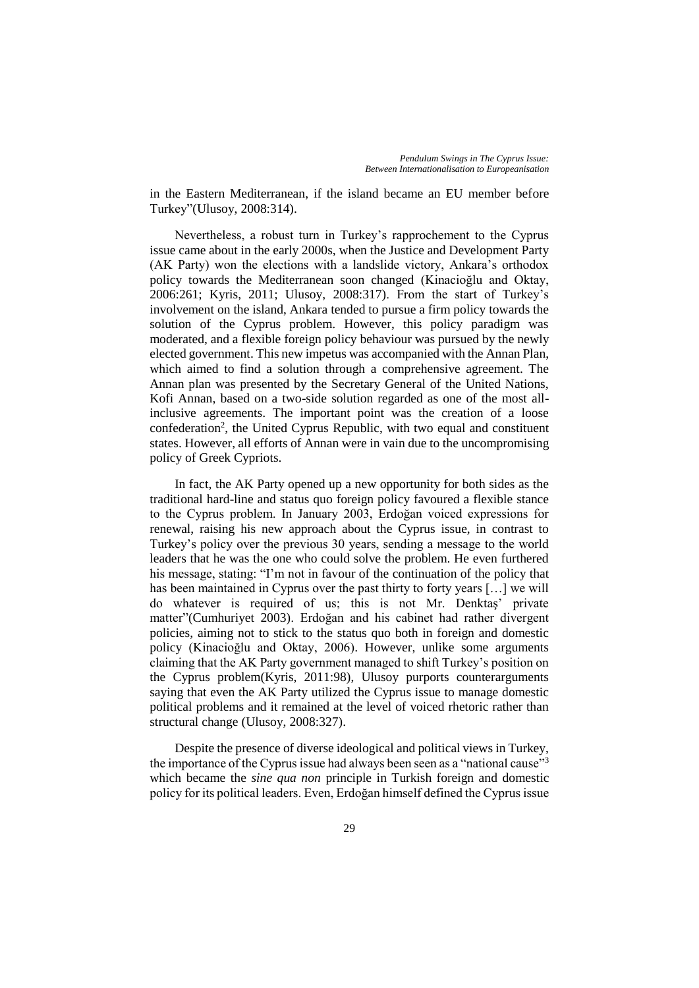in the Eastern Mediterranean, if the island became an EU member before Turkey"(Ulusoy, 2008:314).

Nevertheless, a robust turn in Turkey's rapprochement to the Cyprus issue came about in the early 2000s, when the Justice and Development Party (AK Party) won the elections with a landslide victory, Ankara's orthodox policy towards the Mediterranean soon changed (Kinacioğlu and Oktay, 2006:261; Kyris, 2011; Ulusoy, 2008:317). From the start of Turkey's involvement on the island, Ankara tended to pursue a firm policy towards the solution of the Cyprus problem. However, this policy paradigm was moderated, and a flexible foreign policy behaviour was pursued by the newly elected government. This new impetus was accompanied with the Annan Plan, which aimed to find a solution through a comprehensive agreement. The Annan plan was presented by the Secretary General of the United Nations, Kofi Annan, based on a two-side solution regarded as one of the most allinclusive agreements. The important point was the creation of a loose confederation<sup>2</sup>, the United Cyprus Republic, with two equal and constituent states. However, all efforts of Annan were in vain due to the uncompromising policy of Greek Cypriots.

In fact, the AK Party opened up a new opportunity for both sides as the traditional hard-line and status quo foreign policy favoured a flexible stance to the Cyprus problem. In January 2003, Erdoğan voiced expressions for renewal, raising his new approach about the Cyprus issue, in contrast to Turkey's policy over the previous 30 years, sending a message to the world leaders that he was the one who could solve the problem. He even furthered his message, stating: "I'm not in favour of the continuation of the policy that has been maintained in Cyprus over the past thirty to forty years […] we will do whatever is required of us; this is not Mr. Denktaş' private matter"(Cumhuriyet 2003). Erdoğan and his cabinet had rather divergent policies, aiming not to stick to the status quo both in foreign and domestic policy (Kinacioğlu and Oktay, 2006). However, unlike some arguments claiming that the AK Party government managed to shift Turkey's position on the Cyprus problem(Kyris, 2011:98), Ulusoy purports counterarguments saying that even the AK Party utilized the Cyprus issue to manage domestic political problems and it remained at the level of voiced rhetoric rather than structural change (Ulusoy, 2008:327).

Despite the presence of diverse ideological and political views in Turkey, the importance of the Cyprus issue had always been seen as a "national cause"<sup>3</sup> which became the *sine qua non* principle in Turkish foreign and domestic policy for its political leaders. Even, Erdoğan himself defined the Cyprus issue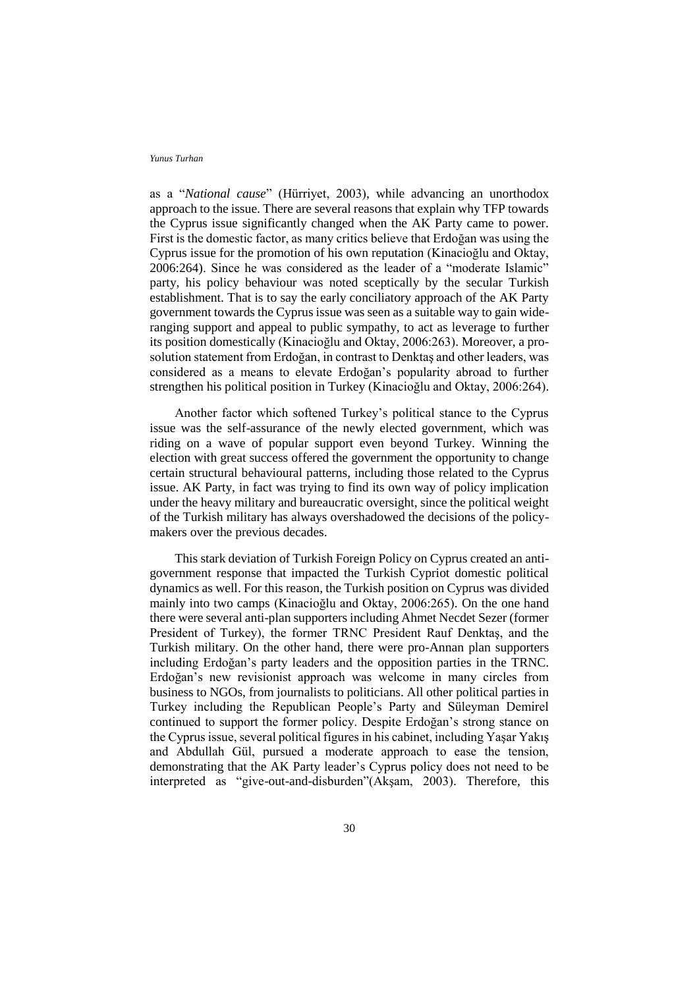as a "*National cause*" (Hürriyet, 2003), while advancing an unorthodox approach to the issue. There are several reasons that explain why TFP towards the Cyprus issue significantly changed when the AK Party came to power. First is the domestic factor, as many critics believe that Erdoğan was using the Cyprus issue for the promotion of his own reputation (Kinacioğlu and Oktay, 2006:264). Since he was considered as the leader of a "moderate Islamic" party, his policy behaviour was noted sceptically by the secular Turkish establishment. That is to say the early conciliatory approach of the AK Party government towards the Cyprus issue was seen as a suitable way to gain wideranging support and appeal to public sympathy, to act as leverage to further its position domestically (Kinacioğlu and Oktay, 2006:263). Moreover, a prosolution statement from Erdoğan, in contrast to Denktaş and other leaders, was considered as a means to elevate Erdoğan's popularity abroad to further strengthen his political position in Turkey (Kinacioğlu and Oktay, 2006:264).

Another factor which softened Turkey's political stance to the Cyprus issue was the self-assurance of the newly elected government, which was riding on a wave of popular support even beyond Turkey. Winning the election with great success offered the government the opportunity to change certain structural behavioural patterns, including those related to the Cyprus issue. AK Party, in fact was trying to find its own way of policy implication under the heavy military and bureaucratic oversight, since the political weight of the Turkish military has always overshadowed the decisions of the policymakers over the previous decades.

This stark deviation of Turkish Foreign Policy on Cyprus created an antigovernment response that impacted the Turkish Cypriot domestic political dynamics as well. For this reason, the Turkish position on Cyprus was divided mainly into two camps (Kinacioğlu and Oktay, 2006:265). On the one hand there were several anti-plan supporters including Ahmet Necdet Sezer (former President of Turkey), the former TRNC President Rauf Denktaş, and the Turkish military. On the other hand, there were pro-Annan plan supporters including Erdoğan's party leaders and the opposition parties in the TRNC. Erdoğan's new revisionist approach was welcome in many circles from business to NGOs, from journalists to politicians. All other political parties in Turkey including the Republican People's Party and Süleyman Demirel continued to support the former policy. Despite Erdoğan's strong stance on the Cyprus issue, several political figures in his cabinet, including Yaşar Yakış and Abdullah Gül, pursued a moderate approach to ease the tension, demonstrating that the AK Party leader's Cyprus policy does not need to be interpreted as "give-out-and-disburden"(Akşam, 2003). Therefore, this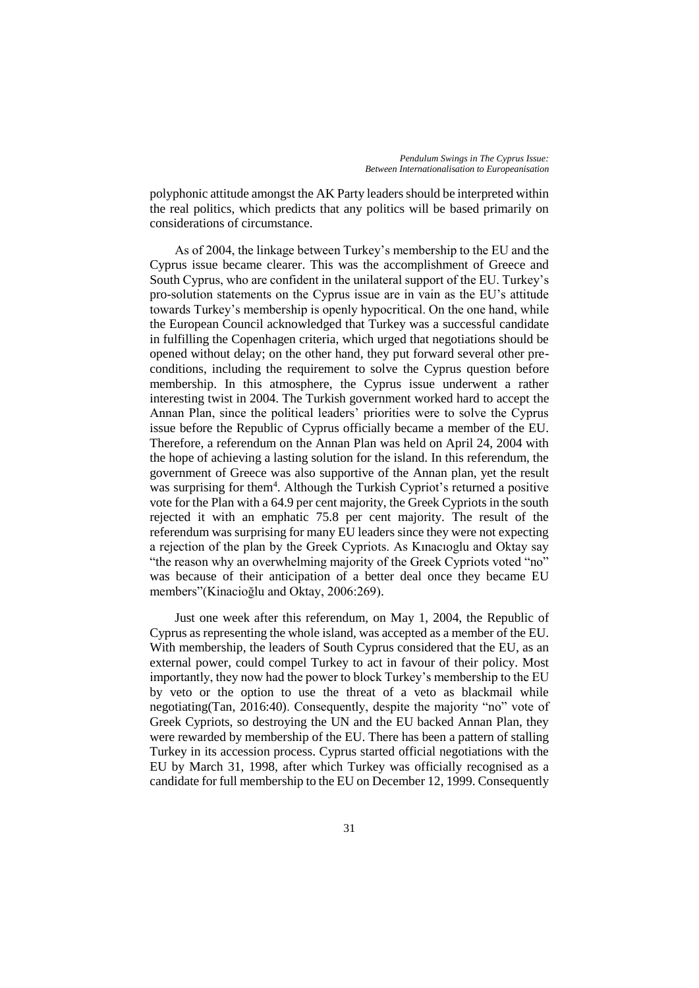polyphonic attitude amongst the AK Party leaders should be interpreted within the real politics, which predicts that any politics will be based primarily on considerations of circumstance.

As of 2004, the linkage between Turkey's membership to the EU and the Cyprus issue became clearer. This was the accomplishment of Greece and South Cyprus, who are confident in the unilateral support of the EU. Turkey's pro-solution statements on the Cyprus issue are in vain as the EU's attitude towards Turkey's membership is openly hypocritical. On the one hand, while the European Council acknowledged that Turkey was a successful candidate in fulfilling the Copenhagen criteria, which urged that negotiations should be opened without delay; on the other hand, they put forward several other preconditions, including the requirement to solve the Cyprus question before membership. In this atmosphere, the Cyprus issue underwent a rather interesting twist in 2004. The Turkish government worked hard to accept the Annan Plan, since the political leaders' priorities were to solve the Cyprus issue before the Republic of Cyprus officially became a member of the EU. Therefore, a referendum on the Annan Plan was held on April 24, 2004 with the hope of achieving a lasting solution for the island. In this referendum, the government of Greece was also supportive of the Annan plan, yet the result was surprising for them<sup>4</sup>. Although the Turkish Cypriot's returned a positive vote for the Plan with a 64.9 per cent majority, the Greek Cypriots in the south rejected it with an emphatic 75.8 per cent majority. The result of the referendum was surprising for many EU leaders since they were not expecting a rejection of the plan by the Greek Cypriots. As Kınacıoglu and Oktay say "the reason why an overwhelming majority of the Greek Cypriots voted "no" was because of their anticipation of a better deal once they became EU members"(Kinacioğlu and Oktay, 2006:269).

Just one week after this referendum, on May 1, 2004, the Republic of Cyprus as representing the whole island, was accepted as a member of the EU. With membership, the leaders of South Cyprus considered that the EU, as an external power, could compel Turkey to act in favour of their policy. Most importantly, they now had the power to block Turkey's membership to the EU by veto or the option to use the threat of a veto as blackmail while negotiating(Tan, 2016:40). Consequently, despite the majority "no" vote of Greek Cypriots, so destroying the UN and the EU backed Annan Plan, they were rewarded by membership of the EU. There has been a pattern of stalling Turkey in its accession process. Cyprus started official negotiations with the EU by March 31, 1998, after which Turkey was officially recognised as a candidate for full membership to the EU on December 12, 1999. Consequently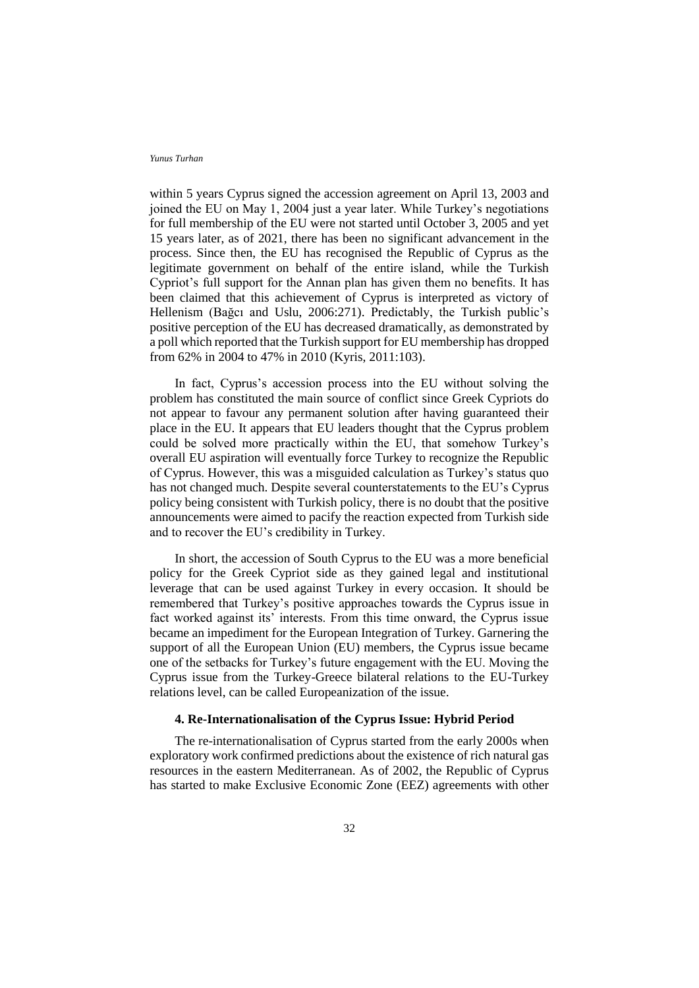within 5 years Cyprus signed the accession agreement on April 13, 2003 and joined the EU on May 1, 2004 just a year later. While Turkey's negotiations for full membership of the EU were not started until October 3, 2005 and yet 15 years later, as of 2021, there has been no significant advancement in the process. Since then, the EU has recognised the Republic of Cyprus as the legitimate government on behalf of the entire island, while the Turkish Cypriot's full support for the Annan plan has given them no benefits. It has been claimed that this achievement of Cyprus is interpreted as victory of Hellenism (Bağcı and Uslu, 2006:271). Predictably, the Turkish public's positive perception of the EU has decreased dramatically, as demonstrated by a poll which reported that the Turkish support for EU membership has dropped from 62% in 2004 to 47% in 2010 (Kyris, 2011:103).

In fact, Cyprus's accession process into the EU without solving the problem has constituted the main source of conflict since Greek Cypriots do not appear to favour any permanent solution after having guaranteed their place in the EU. It appears that EU leaders thought that the Cyprus problem could be solved more practically within the EU, that somehow Turkey's overall EU aspiration will eventually force Turkey to recognize the Republic of Cyprus. However, this was a misguided calculation as Turkey's status quo has not changed much. Despite several counterstatements to the EU's Cyprus policy being consistent with Turkish policy, there is no doubt that the positive announcements were aimed to pacify the reaction expected from Turkish side and to recover the EU's credibility in Turkey.

In short, the accession of South Cyprus to the EU was a more beneficial policy for the Greek Cypriot side as they gained legal and institutional leverage that can be used against Turkey in every occasion. It should be remembered that Turkey's positive approaches towards the Cyprus issue in fact worked against its' interests. From this time onward, the Cyprus issue became an impediment for the European Integration of Turkey. Garnering the support of all the European Union (EU) members, the Cyprus issue became one of the setbacks for Turkey's future engagement with the EU. Moving the Cyprus issue from the Turkey-Greece bilateral relations to the EU-Turkey relations level, can be called Europeanization of the issue.

## **4. Re-Internationalisation of the Cyprus Issue: Hybrid Period**

The re-internationalisation of Cyprus started from the early 2000s when exploratory work confirmed predictions about the existence of rich natural gas resources in the eastern Mediterranean. As of 2002, the Republic of Cyprus has started to make Exclusive Economic Zone (EEZ) agreements with other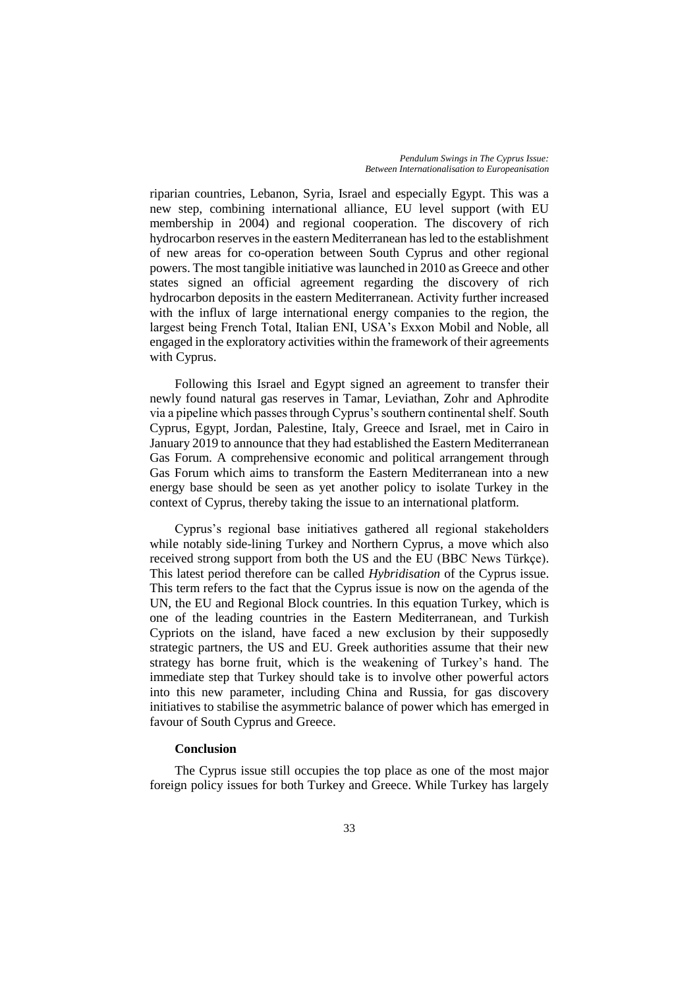riparian countries, Lebanon, Syria, Israel and especially Egypt. This was a new step, combining international alliance, EU level support (with EU membership in 2004) and regional cooperation. The discovery of rich hydrocarbon reserves in the eastern Mediterranean has led to the establishment of new areas for co-operation between South Cyprus and other regional powers. The most tangible initiative was launched in 2010 as Greece and other states signed an official agreement regarding the discovery of rich hydrocarbon deposits in the eastern Mediterranean. Activity further increased with the influx of large international energy companies to the region, the largest being French Total, Italian ENI, USA's Exxon Mobil and Noble, all engaged in the exploratory activities within the framework of their agreements with Cyprus.

Following this Israel and Egypt signed an agreement to transfer their newly found natural gas reserves in Tamar, Leviathan, Zohr and Aphrodite via a pipeline which passes through Cyprus's southern continental shelf. South Cyprus, Egypt, Jordan, Palestine, Italy, Greece and Israel, met in Cairo in January 2019 to announce that they had established the Eastern Mediterranean Gas Forum. A comprehensive economic and political arrangement through Gas Forum which aims to transform the Eastern Mediterranean into a new energy base should be seen as yet another policy to isolate Turkey in the context of Cyprus, thereby taking the issue to an international platform.

Cyprus's regional base initiatives gathered all regional stakeholders while notably side-lining Turkey and Northern Cyprus, a move which also received strong support from both the US and the EU (BBC News Türkçe). This latest period therefore can be called *Hybridisation* of the Cyprus issue. This term refers to the fact that the Cyprus issue is now on the agenda of the UN, the EU and Regional Block countries. In this equation Turkey, which is one of the leading countries in the Eastern Mediterranean, and Turkish Cypriots on the island, have faced a new exclusion by their supposedly strategic partners, the US and EU. Greek authorities assume that their new strategy has borne fruit, which is the weakening of Turkey's hand. The immediate step that Turkey should take is to involve other powerful actors into this new parameter, including China and Russia, for gas discovery initiatives to stabilise the asymmetric balance of power which has emerged in favour of South Cyprus and Greece.

## **Conclusion**

The Cyprus issue still occupies the top place as one of the most major foreign policy issues for both Turkey and Greece. While Turkey has largely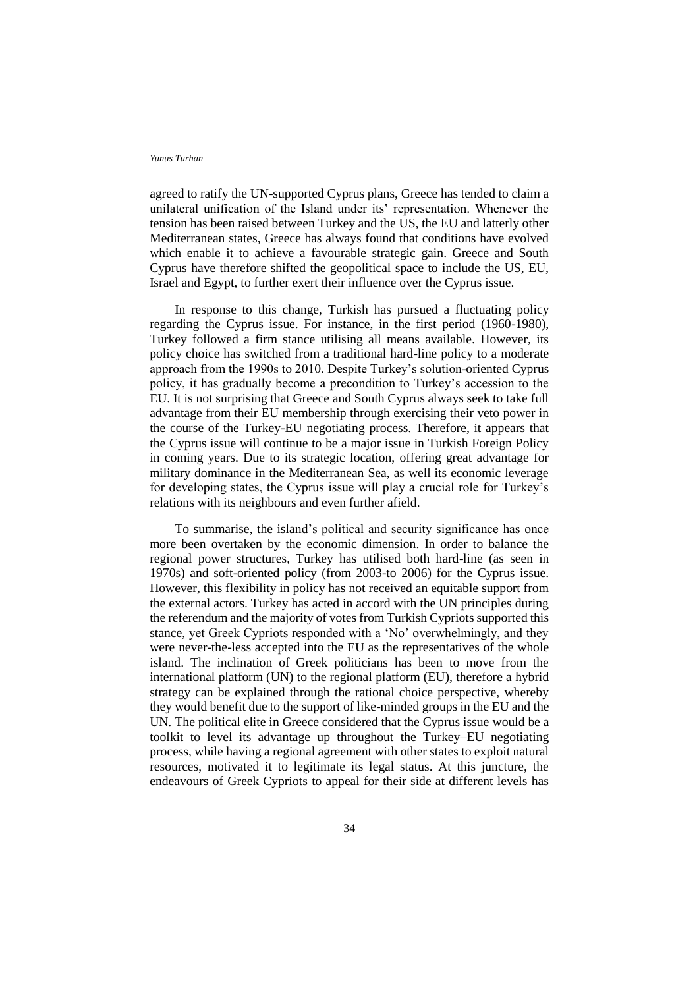agreed to ratify the UN-supported Cyprus plans, Greece has tended to claim a unilateral unification of the Island under its' representation. Whenever the tension has been raised between Turkey and the US, the EU and latterly other Mediterranean states, Greece has always found that conditions have evolved which enable it to achieve a favourable strategic gain. Greece and South Cyprus have therefore shifted the geopolitical space to include the US, EU, Israel and Egypt, to further exert their influence over the Cyprus issue.

In response to this change, Turkish has pursued a fluctuating policy regarding the Cyprus issue. For instance, in the first period (1960-1980), Turkey followed a firm stance utilising all means available. However, its policy choice has switched from a traditional hard-line policy to a moderate approach from the 1990s to 2010. Despite Turkey's solution-oriented Cyprus policy, it has gradually become a precondition to Turkey's accession to the EU. It is not surprising that Greece and South Cyprus always seek to take full advantage from their EU membership through exercising their veto power in the course of the Turkey-EU negotiating process. Therefore, it appears that the Cyprus issue will continue to be a major issue in Turkish Foreign Policy in coming years. Due to its strategic location, offering great advantage for military dominance in the Mediterranean Sea, as well its economic leverage for developing states, the Cyprus issue will play a crucial role for Turkey's relations with its neighbours and even further afield.

To summarise, the island's political and security significance has once more been overtaken by the economic dimension. In order to balance the regional power structures, Turkey has utilised both hard-line (as seen in 1970s) and soft-oriented policy (from 2003-to 2006) for the Cyprus issue. However, this flexibility in policy has not received an equitable support from the external actors. Turkey has acted in accord with the UN principles during the referendum and the majority of votes from Turkish Cypriots supported this stance, yet Greek Cypriots responded with a 'No' overwhelmingly, and they were never-the-less accepted into the EU as the representatives of the whole island. The inclination of Greek politicians has been to move from the international platform (UN) to the regional platform (EU), therefore a hybrid strategy can be explained through the rational choice perspective, whereby they would benefit due to the support of like-minded groups in the EU and the UN. The political elite in Greece considered that the Cyprus issue would be a toolkit to level its advantage up throughout the Turkey–EU negotiating process, while having a regional agreement with other states to exploit natural resources, motivated it to legitimate its legal status. At this juncture, the endeavours of Greek Cypriots to appeal for their side at different levels has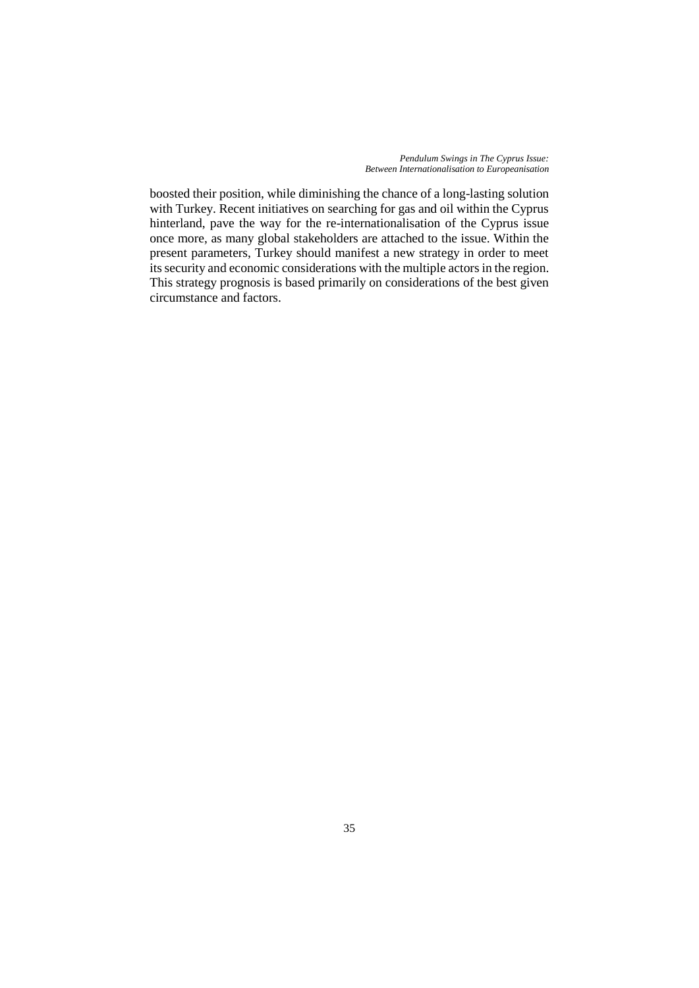*Pendulum Swings in The Cyprus Issue: Between Internationalisation to Europeanisation*

boosted their position, while diminishing the chance of a long-lasting solution with Turkey. Recent initiatives on searching for gas and oil within the Cyprus hinterland, pave the way for the re-internationalisation of the Cyprus issue once more, as many global stakeholders are attached to the issue. Within the present parameters, Turkey should manifest a new strategy in order to meet its security and economic considerations with the multiple actors in the region. This strategy prognosis is based primarily on considerations of the best given circumstance and factors.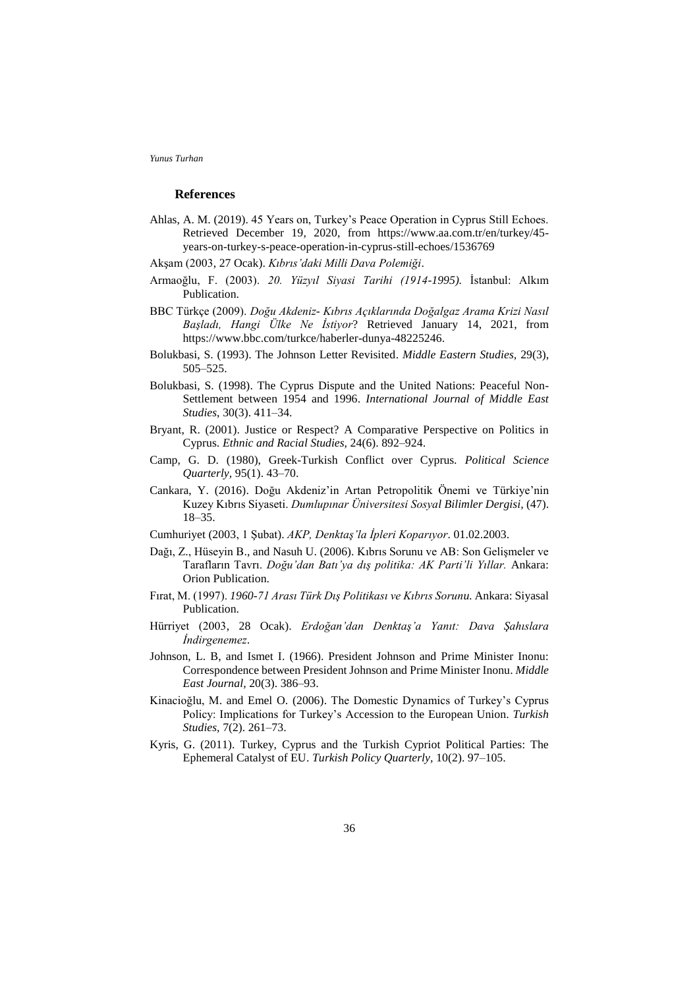#### **References**

- Ahlas, A. M. (2019). 45 Years on, Turkey's Peace Operation in Cyprus Still Echoes. Retrieved December 19, 2020, from https://www.aa.com.tr/en/turkey/45 years-on-turkey-s-peace-operation-in-cyprus-still-echoes/1536769
- Akşam (2003, 27 Ocak). *Kıbrıs'daki Milli Dava Polemiği*.
- Armaoğlu, F. (2003). *20. Yüzyıl Siyasi Tarihi (1914-1995).* İstanbul: Alkım Publication.
- BBC Türkçe (2009). *Doğu Akdeniz- Kıbrıs Açıklarında Doğalgaz Arama Krizi Nasıl Başladı, Hangi Ülke Ne İstiyor*? Retrieved January 14, 2021, from https://www.bbc.com/turkce/haberler-dunya-48225246.
- Bolukbasi, S. (1993). The Johnson Letter Revisited. *Middle Eastern Studies,* 29(3), 505–525.
- Bolukbasi, S. (1998). The Cyprus Dispute and the United Nations: Peaceful Non-Settlement between 1954 and 1996. *International Journal of Middle East Studies*, 30(3). 411–34.
- Bryant, R. (2001). Justice or Respect? A Comparative Perspective on Politics in Cyprus. *Ethnic and Racial Studies,* 24(6). 892–924.
- Camp, G. D. (1980), Greek-Turkish Conflict over Cyprus. *Political Science Quarterly,* 95(1). 43–70.
- Cankara, Y. (2016). Doğu Akdeniz'in Artan Petropolitik Önemi ve Türkiye'nin Kuzey Kıbrıs Siyaseti. *Dumlupınar Üniversitesi Sosyal Bilimler Dergisi,* (47). 18–35.
- Cumhuriyet (2003, 1 Şubat). *AKP, Denktaş'la İpleri Koparıyor*. 01.02.2003.
- Dağı, Z., Hüseyin B., and Nasuh U. (2006). Kıbrıs Sorunu ve AB: Son Gelişmeler ve Tarafların Tavrı. *Doğu'dan Batı'ya dış politika: AK Parti'li Yıllar.* Ankara: Orion Publication.
- Fırat, M. (1997). *1960-71 Arası Türk Dış Politikası ve Kıbrıs Sorunu.* Ankara: Siyasal Publication.
- Hürriyet (2003, 28 Ocak). *Erdoğan'dan Denktaş'a Yanıt: Dava Şahıslara İndirgenemez*.
- Johnson, L. B, and Ismet I. (1966). President Johnson and Prime Minister Inonu: Correspondence between President Johnson and Prime Minister Inonu. *Middle East Journal,* 20(3). 386–93.
- Kinacioğlu, M. and Emel O. (2006). The Domestic Dynamics of Turkey's Cyprus Policy: Implications for Turkey's Accession to the European Union. *Turkish Studies,* 7(2). 261–73.
- Kyris, G. (2011). Turkey, Cyprus and the Turkish Cypriot Political Parties: The Ephemeral Catalyst of EU. *Turkish Policy Quarterly,* 10(2). 97–105.